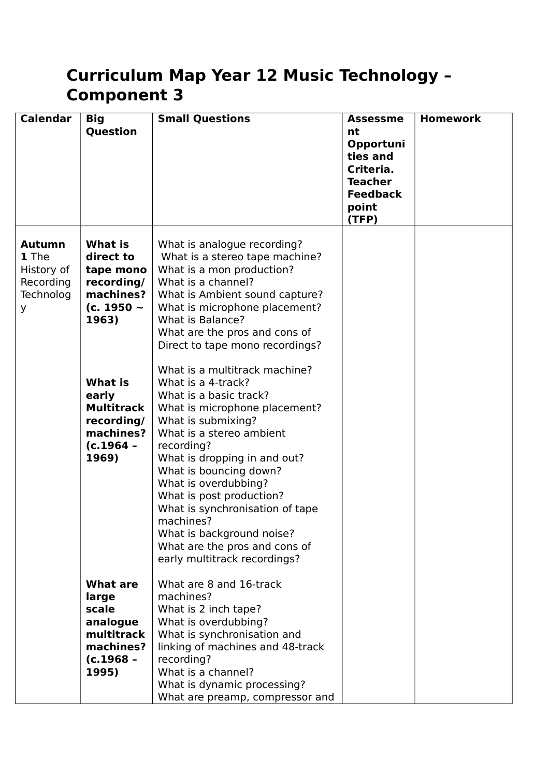## **Curriculum Map Year 12 Music Technology – Component 3**

| <b>Calendar</b>                                                     | <b>Big</b><br>Question                                                                           | <b>Small Questions</b>                                                                                                                                                                                                                                                                                                                                                                                                                     | <b>Assessme</b><br>nt<br>Opportuni<br>ties and<br>Criteria.<br><b>Teacher</b><br><b>Feedback</b><br>point<br>(TFP) | <b>Homework</b> |
|---------------------------------------------------------------------|--------------------------------------------------------------------------------------------------|--------------------------------------------------------------------------------------------------------------------------------------------------------------------------------------------------------------------------------------------------------------------------------------------------------------------------------------------------------------------------------------------------------------------------------------------|--------------------------------------------------------------------------------------------------------------------|-----------------|
| <b>Autumn</b><br>1 The<br>History of<br>Recording<br>Technolog<br>У | <b>What is</b><br>direct to<br>tape mono<br>recording/<br>machines?<br>(c. 1950 $\sim$<br>1963)  | What is analogue recording?<br>What is a stereo tape machine?<br>What is a mon production?<br>What is a channel?<br>What is Ambient sound capture?<br>What is microphone placement?<br>What is Balance?<br>What are the pros and cons of<br>Direct to tape mono recordings?                                                                                                                                                                |                                                                                                                    |                 |
|                                                                     | <b>What is</b><br>early<br><b>Multitrack</b><br>recording/<br>machines?<br>$(c.1964 -$<br>1969)  | What is a multitrack machine?<br>What is a 4-track?<br>What is a basic track?<br>What is microphone placement?<br>What is submixing?<br>What is a stereo ambient<br>recording?<br>What is dropping in and out?<br>What is bouncing down?<br>What is overdubbing?<br>What is post production?<br>What is synchronisation of tape<br>machines?<br>What is background noise?<br>What are the pros and cons of<br>early multitrack recordings? |                                                                                                                    |                 |
|                                                                     | <b>What are</b><br>large<br>scale<br>analogue<br>multitrack<br>machines?<br>$(c.1968 -$<br>1995) | What are 8 and 16-track<br>machines?<br>What is 2 inch tape?<br>What is overdubbing?<br>What is synchronisation and<br>linking of machines and 48-track<br>recording?<br>What is a channel?<br>What is dynamic processing?<br>What are preamp, compressor and                                                                                                                                                                              |                                                                                                                    |                 |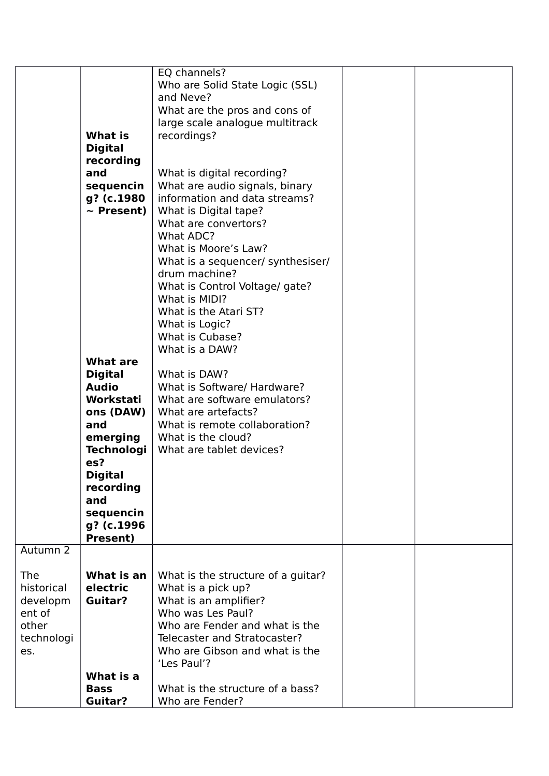|            | <b>What is</b><br><b>Digital</b><br>recording | EQ channels?<br>Who are Solid State Logic (SSL)<br>and Neve?<br>What are the pros and cons of<br>large scale analogue multitrack<br>recordings? |  |
|------------|-----------------------------------------------|-------------------------------------------------------------------------------------------------------------------------------------------------|--|
|            | and                                           |                                                                                                                                                 |  |
|            | sequencin                                     | What is digital recording?<br>What are audio signals, binary                                                                                    |  |
|            | g? (c.1980                                    | information and data streams?                                                                                                                   |  |
|            | $\sim$ Present)                               | What is Digital tape?                                                                                                                           |  |
|            |                                               | What are convertors?                                                                                                                            |  |
|            |                                               | What ADC?                                                                                                                                       |  |
|            |                                               | What is Moore's Law?                                                                                                                            |  |
|            |                                               | What is a sequencer/ synthesiser/                                                                                                               |  |
|            |                                               | drum machine?                                                                                                                                   |  |
|            |                                               | What is Control Voltage/ gate?                                                                                                                  |  |
|            |                                               | What is MIDI?                                                                                                                                   |  |
|            |                                               | What is the Atari ST?                                                                                                                           |  |
|            |                                               | What is Logic?<br>What is Cubase?                                                                                                               |  |
|            |                                               | What is a DAW?                                                                                                                                  |  |
|            | <b>What are</b>                               |                                                                                                                                                 |  |
|            | <b>Digital</b>                                | What is DAW?                                                                                                                                    |  |
|            | <b>Audio</b>                                  | What is Software/ Hardware?                                                                                                                     |  |
|            | Workstati                                     | What are software emulators?                                                                                                                    |  |
|            | ons (DAW)                                     | What are artefacts?                                                                                                                             |  |
|            | and                                           | What is remote collaboration?                                                                                                                   |  |
|            | emerging                                      | What is the cloud?                                                                                                                              |  |
|            | <b>Technologi</b>                             | What are tablet devices?                                                                                                                        |  |
|            | es?                                           |                                                                                                                                                 |  |
|            | <b>Digital</b><br>recording                   |                                                                                                                                                 |  |
|            | and                                           |                                                                                                                                                 |  |
|            | sequencin                                     |                                                                                                                                                 |  |
|            | g? (c.1996                                    |                                                                                                                                                 |  |
|            | Present)                                      |                                                                                                                                                 |  |
| Autumn 2   |                                               |                                                                                                                                                 |  |
| <b>The</b> | What is an                                    | What is the structure of a guitar?                                                                                                              |  |
| historical | electric                                      | What is a pick up?                                                                                                                              |  |
| developm   | Guitar?                                       | What is an amplifier?                                                                                                                           |  |
| ent of     |                                               | Who was Les Paul?                                                                                                                               |  |
| other      |                                               | Who are Fender and what is the                                                                                                                  |  |
| technologi |                                               | Telecaster and Stratocaster?                                                                                                                    |  |
| es.        |                                               | Who are Gibson and what is the                                                                                                                  |  |
|            |                                               | 'Les Paul'?                                                                                                                                     |  |
|            | What is a                                     |                                                                                                                                                 |  |
|            | <b>Bass</b>                                   | What is the structure of a bass?                                                                                                                |  |
|            | <b>Guitar?</b>                                | Who are Fender?                                                                                                                                 |  |